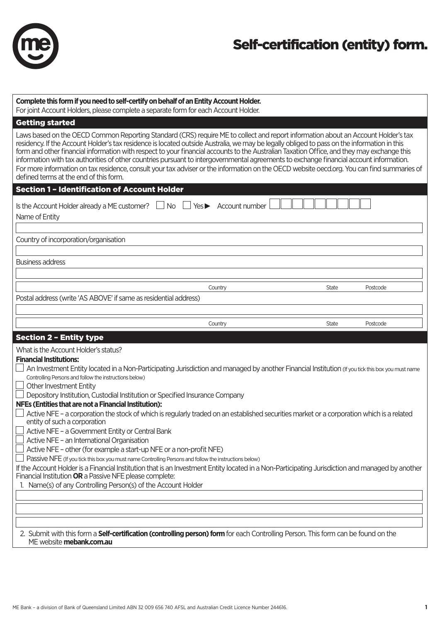

## Self-certification (entity) form.

| Complete this form if you need to self-certify on behalf of an Entity Account Holder.<br>For joint Account Holders, please complete a separate form for each Account Holder.                                                                                                                                                                                                                                                                                                                                                                                                                                                                                                                                                                                                                                                                                                                                                                                                                                                                                                                                                                                                                                                                |  |  |  |  |  |
|---------------------------------------------------------------------------------------------------------------------------------------------------------------------------------------------------------------------------------------------------------------------------------------------------------------------------------------------------------------------------------------------------------------------------------------------------------------------------------------------------------------------------------------------------------------------------------------------------------------------------------------------------------------------------------------------------------------------------------------------------------------------------------------------------------------------------------------------------------------------------------------------------------------------------------------------------------------------------------------------------------------------------------------------------------------------------------------------------------------------------------------------------------------------------------------------------------------------------------------------|--|--|--|--|--|
| <b>Getting started</b>                                                                                                                                                                                                                                                                                                                                                                                                                                                                                                                                                                                                                                                                                                                                                                                                                                                                                                                                                                                                                                                                                                                                                                                                                      |  |  |  |  |  |
| Laws based on the OECD Common Reporting Standard (CRS) require ME to collect and report information about an Account Holder's tax<br>residency. If the Account Holder's tax residence is located outside Australia, we may be legally obliged to pass on the information in this<br>form and other financial information with respect to your financial accounts to the Australian Taxation Office, and they may exchange this<br>information with tax authorities of other countries pursuant to intergovernmental agreements to exchange financial account information.<br>For more information on tax residence, consult your tax adviser or the information on the OECD website oecd.org. You can find summaries of<br>defined terms at the end of this form.                                                                                                                                                                                                                                                                                                                                                                                                                                                                           |  |  |  |  |  |
| <b>Section 1 - Identification of Account Holder</b>                                                                                                                                                                                                                                                                                                                                                                                                                                                                                                                                                                                                                                                                                                                                                                                                                                                                                                                                                                                                                                                                                                                                                                                         |  |  |  |  |  |
| Is the Account Holder already a ME customer? $\Box$ No $\Box$<br>Yes Account number<br>Name of Entity                                                                                                                                                                                                                                                                                                                                                                                                                                                                                                                                                                                                                                                                                                                                                                                                                                                                                                                                                                                                                                                                                                                                       |  |  |  |  |  |
| Country of incorporation/organisation                                                                                                                                                                                                                                                                                                                                                                                                                                                                                                                                                                                                                                                                                                                                                                                                                                                                                                                                                                                                                                                                                                                                                                                                       |  |  |  |  |  |
| <b>Business address</b>                                                                                                                                                                                                                                                                                                                                                                                                                                                                                                                                                                                                                                                                                                                                                                                                                                                                                                                                                                                                                                                                                                                                                                                                                     |  |  |  |  |  |
| Country<br>Postcode<br><b>State</b>                                                                                                                                                                                                                                                                                                                                                                                                                                                                                                                                                                                                                                                                                                                                                                                                                                                                                                                                                                                                                                                                                                                                                                                                         |  |  |  |  |  |
| Postal address (write 'AS ABOVE' if same as residential address)                                                                                                                                                                                                                                                                                                                                                                                                                                                                                                                                                                                                                                                                                                                                                                                                                                                                                                                                                                                                                                                                                                                                                                            |  |  |  |  |  |
|                                                                                                                                                                                                                                                                                                                                                                                                                                                                                                                                                                                                                                                                                                                                                                                                                                                                                                                                                                                                                                                                                                                                                                                                                                             |  |  |  |  |  |
| Postcode<br>Country<br><b>State</b>                                                                                                                                                                                                                                                                                                                                                                                                                                                                                                                                                                                                                                                                                                                                                                                                                                                                                                                                                                                                                                                                                                                                                                                                         |  |  |  |  |  |
|                                                                                                                                                                                                                                                                                                                                                                                                                                                                                                                                                                                                                                                                                                                                                                                                                                                                                                                                                                                                                                                                                                                                                                                                                                             |  |  |  |  |  |
| <b>Section 2 - Entity type</b><br>What is the Account Holder's status?<br><b>Financial Institutions:</b><br>An Investment Entity located in a Non-Participating Jurisdiction and managed by another Financial Institution (If you tick this box you must name<br>Controlling Persons and follow the instructions below)<br>Other Investment Entity<br>Depository Institution, Custodial Institution or Specified Insurance Company<br>NFEs (Entities that are not a Financial Institution):<br>Active NFE - a corporation the stock of which is regularly traded on an established securities market or a corporation which is a related<br>entity of such a corporation<br>Active NFE - a Government Entity or Central Bank<br>Active NFE - an International Organisation<br>Active NFE - other (for example a start-up NFE or a non-profit NFE)<br>Passive NFE (If you tick this box you must name Controlling Persons and follow the instructions below)<br>If the Account Holder is a Financial Institution that is an Investment Entity located in a Non-Participating Jurisdiction and managed by another<br>Financial Institution OR a Passive NFE please complete:<br>1. Name(s) of any Controlling Person(s) of the Account Holder |  |  |  |  |  |
|                                                                                                                                                                                                                                                                                                                                                                                                                                                                                                                                                                                                                                                                                                                                                                                                                                                                                                                                                                                                                                                                                                                                                                                                                                             |  |  |  |  |  |
|                                                                                                                                                                                                                                                                                                                                                                                                                                                                                                                                                                                                                                                                                                                                                                                                                                                                                                                                                                                                                                                                                                                                                                                                                                             |  |  |  |  |  |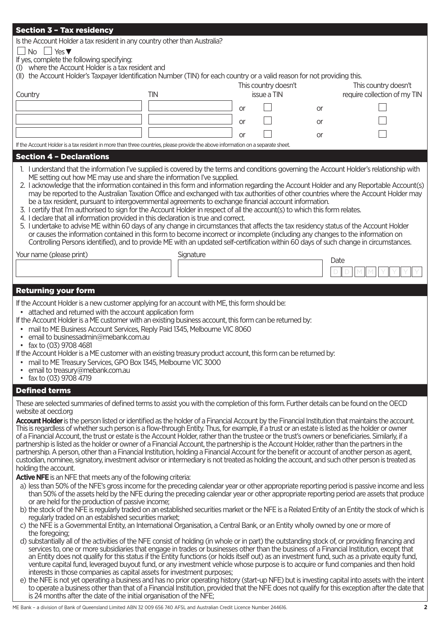| <b>Section 3 - Tax residency</b>                                                                                                                                                                                                                                                                                                                                                                                                                                                                                                                                                                                                                                                                                                                                                                                                                                                                                                                                                                                                                                                                                                                                                                                                                                                                               |            |                      |           |                              |  |
|----------------------------------------------------------------------------------------------------------------------------------------------------------------------------------------------------------------------------------------------------------------------------------------------------------------------------------------------------------------------------------------------------------------------------------------------------------------------------------------------------------------------------------------------------------------------------------------------------------------------------------------------------------------------------------------------------------------------------------------------------------------------------------------------------------------------------------------------------------------------------------------------------------------------------------------------------------------------------------------------------------------------------------------------------------------------------------------------------------------------------------------------------------------------------------------------------------------------------------------------------------------------------------------------------------------|------------|----------------------|-----------|------------------------------|--|
|                                                                                                                                                                                                                                                                                                                                                                                                                                                                                                                                                                                                                                                                                                                                                                                                                                                                                                                                                                                                                                                                                                                                                                                                                                                                                                                |            |                      |           |                              |  |
| Is the Account Holder a tax resident in any country other than Australia?                                                                                                                                                                                                                                                                                                                                                                                                                                                                                                                                                                                                                                                                                                                                                                                                                                                                                                                                                                                                                                                                                                                                                                                                                                      |            |                      |           |                              |  |
| No $\Box$ Yes $\blacktriangledown$<br>If yes, complete the following specifying:                                                                                                                                                                                                                                                                                                                                                                                                                                                                                                                                                                                                                                                                                                                                                                                                                                                                                                                                                                                                                                                                                                                                                                                                                               |            |                      |           |                              |  |
| (I) where the Account Holder is a tax resident and                                                                                                                                                                                                                                                                                                                                                                                                                                                                                                                                                                                                                                                                                                                                                                                                                                                                                                                                                                                                                                                                                                                                                                                                                                                             |            |                      |           |                              |  |
| (II) the Account Holder's Taxpayer Identification Number (TIN) for each country or a valid reason for not providing this.                                                                                                                                                                                                                                                                                                                                                                                                                                                                                                                                                                                                                                                                                                                                                                                                                                                                                                                                                                                                                                                                                                                                                                                      |            |                      |           |                              |  |
|                                                                                                                                                                                                                                                                                                                                                                                                                                                                                                                                                                                                                                                                                                                                                                                                                                                                                                                                                                                                                                                                                                                                                                                                                                                                                                                |            | This country doesn't |           | This country doesn't         |  |
| Country                                                                                                                                                                                                                                                                                                                                                                                                                                                                                                                                                                                                                                                                                                                                                                                                                                                                                                                                                                                                                                                                                                                                                                                                                                                                                                        | <b>TIN</b> | issue a TIN          |           | require collection of my TIN |  |
|                                                                                                                                                                                                                                                                                                                                                                                                                                                                                                                                                                                                                                                                                                                                                                                                                                                                                                                                                                                                                                                                                                                                                                                                                                                                                                                |            | or                   | or        |                              |  |
|                                                                                                                                                                                                                                                                                                                                                                                                                                                                                                                                                                                                                                                                                                                                                                                                                                                                                                                                                                                                                                                                                                                                                                                                                                                                                                                |            |                      |           |                              |  |
|                                                                                                                                                                                                                                                                                                                                                                                                                                                                                                                                                                                                                                                                                                                                                                                                                                                                                                                                                                                                                                                                                                                                                                                                                                                                                                                |            | or                   | or        |                              |  |
|                                                                                                                                                                                                                                                                                                                                                                                                                                                                                                                                                                                                                                                                                                                                                                                                                                                                                                                                                                                                                                                                                                                                                                                                                                                                                                                |            | <b>or</b>            | <b>or</b> |                              |  |
| If the Account Holder is a tax resident in more than three countries, please provide the above information on a separate sheet.                                                                                                                                                                                                                                                                                                                                                                                                                                                                                                                                                                                                                                                                                                                                                                                                                                                                                                                                                                                                                                                                                                                                                                                |            |                      |           |                              |  |
| <b>Section 4 - Declarations</b>                                                                                                                                                                                                                                                                                                                                                                                                                                                                                                                                                                                                                                                                                                                                                                                                                                                                                                                                                                                                                                                                                                                                                                                                                                                                                |            |                      |           |                              |  |
| 1. I understand that the information I've supplied is covered by the terms and conditions governing the Account Holder's relationship with<br>ME setting out how ME may use and share the information I've supplied.<br>2. I acknowledge that the information contained in this form and information regarding the Account Holder and any Reportable Account(s)<br>may be reported to the Australian Taxation Office and exchanged with tax authorities of other countries where the Account Holder may<br>be a tax resident, pursuant to intergovernmental agreements to exchange financial account information.<br>3. I certify that I'm authorised to sign for the Account Holder in respect of all the account(s) to which this form relates.<br>4. I declare that all information provided in this declaration is true and correct.<br>5. I undertake to advise ME within 60 days of any change in circumstances that affects the tax residency status of the Account Holder<br>or causes the information contained in this form to become incorrect or incomplete (including any changes to the information on<br>Controlling Persons identified), and to provide ME with an updated self-certification within 60 days of such change in circumstances.<br>Your name (please print)<br>Signature<br>Date |            |                      |           |                              |  |
|                                                                                                                                                                                                                                                                                                                                                                                                                                                                                                                                                                                                                                                                                                                                                                                                                                                                                                                                                                                                                                                                                                                                                                                                                                                                                                                |            |                      |           |                              |  |
| <b>Returning your form</b>                                                                                                                                                                                                                                                                                                                                                                                                                                                                                                                                                                                                                                                                                                                                                                                                                                                                                                                                                                                                                                                                                                                                                                                                                                                                                     |            |                      |           |                              |  |
| If the Account Holder is a new customer applying for an account with ME, this form should be:<br>attached and returned with the account application form<br>If the Account Holder is a ME customer with an existing business account, this form can be returned by:<br>mail to ME Business Account Services, Reply Paid 1345, Melbourne VIC 8060<br>email to businessadmin@mebank.com.au<br>fax to (03) 9708 4681<br>If the Account Holder is a ME customer with an existing treasury product account, this form can be returned by:<br>mail to ME Treasury Services, GPO Box 1345, Melbourne VIC 3000<br>email to treasury@mebank.com.au<br>fax to (03) 9708 4719                                                                                                                                                                                                                                                                                                                                                                                                                                                                                                                                                                                                                                             |            |                      |           |                              |  |
| <b>Defined terms</b>                                                                                                                                                                                                                                                                                                                                                                                                                                                                                                                                                                                                                                                                                                                                                                                                                                                                                                                                                                                                                                                                                                                                                                                                                                                                                           |            |                      |           |                              |  |
| These are selected summaries of defined terms to assist you with the completion of this form. Further details can be found on the OECD<br>website at oecd.org                                                                                                                                                                                                                                                                                                                                                                                                                                                                                                                                                                                                                                                                                                                                                                                                                                                                                                                                                                                                                                                                                                                                                  |            |                      |           |                              |  |
| Account Holder is the person listed or identified as the holder of a Financial Account by the Financial Institution that maintains the account.<br>This is regardless of whether such person is a flow-through Entity. Thus, for example, if a trust or an estate is listed as the holder or owner<br>of a Financial Account, the trust or estate is the Account Holder, rather than the trustee or the trust's owners or beneficiaries. Similarly, if a<br>partnership is listed as the holder or owner of a Financial Account, the partnership is the Account Holder, rather than the partners in the<br>partnership. A person, other than a Financial Institution, holding a Financial Account for the benefit or account of another person as agent,<br>custodian, nominee, signatory, investment advisor or intermediary is not treated as holding the account, and such other person is treated as<br>holding the account.                                                                                                                                                                                                                                                                                                                                                                               |            |                      |           |                              |  |
| Active NFE is an NFE that meets any of the following criteria:                                                                                                                                                                                                                                                                                                                                                                                                                                                                                                                                                                                                                                                                                                                                                                                                                                                                                                                                                                                                                                                                                                                                                                                                                                                 |            |                      |           |                              |  |
| a) less than 50% of the NFE's gross income for the preceding calendar year or other appropriate reporting period is passive income and less<br>than 50% of the assets held by the NFE during the preceding calendar year or other appropriate reporting period are assets that produce<br>or are held for the production of passive income;<br>b) the stock of the NFE is regularly traded on an established securities market or the NFE is a Related Entity of an Entity the stock of which is<br>regularly traded on an established securities market;<br>c) the NFE is a Governmental Entity, an International Organisation, a Central Bank, or an Entity wholly owned by one or more of                                                                                                                                                                                                                                                                                                                                                                                                                                                                                                                                                                                                                   |            |                      |           |                              |  |
| the foregoing;<br>d) substantially all of the activities of the NFE consist of holding (in whole or in part) the outstanding stock of, or providing financing and<br>services to, one or more subsidiaries that engage in trades or businesses other than the business of a Financial Institution, except that<br>an Entity does not qualify for this status if the Entity functions (or holds itself out) as an investment fund, such as a private equity fund,<br>venture capital fund, leveraged buyout fund, or any investment vehicle whose purpose is to acquire or fund companies and then hold<br>interests in those companies as capital assets for investment purposes;                                                                                                                                                                                                                                                                                                                                                                                                                                                                                                                                                                                                                              |            |                      |           |                              |  |

e) the NFE is not yet operating a business and has no prior operating history (start-up NFE) but is investing capital into assets with the intent to operate a business other than that of a Financial Institution, provided that the NFE does not qualify for this exception after the date that is 24 months after the date of the initial organisation of the NFE;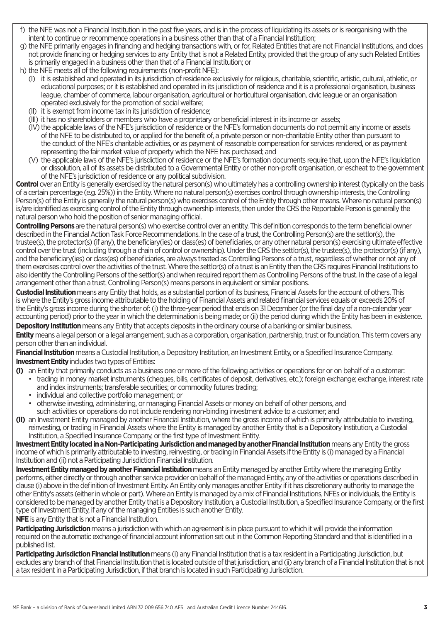- f) the NFE was not a Financial Institution in the past five years, and is in the process of liquidating its assets or is reorganising with the intent to continue or recommence operations in a business other than that of a Financial Institution;
- g) the NFE primarily engages in financing and hedging transactions with, or for, Related Entities that are not Financial Institutions, and does not provide financing or hedging services to any Entity that is not a Related Entity, provided that the group of any such Related Entities is primarily engaged in a business other than that of a Financial Institution; or
- h) the NFE meets all of the following requirements (non-profit NFE):
	- (I) it is established and operated in its jurisdiction of residence exclusively for religious, charitable, scientific, artistic, cultural, athletic, or educational purposes; or it is established and operated in its jurisdiction of residence and it is a professional organisation, business league, chamber of commerce, labour organisation, agricultural or horticultural organisation, civic league or an organisation operated exclusively for the promotion of social welfare;
	- (II) it is exempt from income tax in its jurisdiction of residence;
	- (III) it has no shareholders or members who have a proprietary or beneficial interest in its income or assets;
	- (IV) the applicable laws of the NFE's jurisdiction of residence or the NFE's formation documents do not permit any income or assets of the NFE to be distributed to, or applied for the benefit of, a private person or non-charitable Entity other than pursuant to the conduct of the NFE's charitable activities, or as payment of reasonable compensation for services rendered, or as payment representing the fair market value of property which the NFE has purchased; and
	- (V) the applicable laws of the NFE's jurisdiction of residence or the NFE's formation documents require that, upon the NFE's liquidation or dissolution, all of its assets be distributed to a Governmental Entity or other non-profit organisation, or escheat to the government of the NFE's jurisdiction of residence or any political subdivision.

**Control** over an Entity is generally exercised by the natural person(s) who ultimately has a controlling ownership interest (typically on the basis of a certain percentage (e.g. 25%)) in the Entity. Where no natural person(s) exercises control through ownership interests, the Controlling Person(s) of the Entity is generally the natural person(s) who exercises control of the Entity through other means. Where no natural person(s) is/are identified as exercising control of the Entity through ownership interests, then under the CRS the Reportable Person is generally the natural person who hold the position of senior managing official.

**Controlling Persons** are the natural person(s) who exercise control over an entity. This definition corresponds to the term beneficial owner described in the Financial Action Task Force Recommendations. In the case of a trust, the Controlling Person(s) are the settlor(s), the trustee(s), the protector(s) (if any), the beneficiary(ies) or class(es) of beneficiaries, or any other natural person(s) exercising ultimate effective control over the trust (including through a chain of control or ownership). Under the CRS the settlor(s), the trustee(s), the protector(s) (if any), and the beneficiary(ies) or class(es) of beneficiaries, are always treated as Controlling Persons of a trust, regardless of whether or not any of them exercises control over the activities of the trust. Where the settlor(s) of a trust is an Entity then the CRS requires Financial Institutions to also identify the Controlling Persons of the settlor(s) and when required report them as Controlling Persons of the trust. In the case of a legal arrangement other than a trust, Controlling Person(s) means persons in equivalent or similar positions.

**Custodial Institution** means any Entity that holds, as a substantial portion of its business, Financial Assets for the account of others. This is where the Entity's gross income attributable to the holding of Financial Assets and related financial services equals or exceeds 20% of the Entity's gross income during the shorter of: (i) the three-year period that ends on 31 December (or the final day of a non-calendar year accounting period) prior to the year in which the determination is being made; or (ii) the period during which the Entity has been in existence.

**Depository Institution** means any Entity that accepts deposits in the ordinary course of a banking or similar business.

**Entity** means a legal person or a legal arrangement, such as a corporation, organisation, partnership, trust or foundation. This term covers any person other than an individual.

**Financial Institution** means a Custodial Institution, a Depository Institution, an Investment Entity, or a Specified Insurance Company. **Investment Entity** includes two types of Entities:

- **(I)** an Entity that primarily conducts as a business one or more of the following activities or operations for or on behalf of a customer:
	- trading in money market instruments (cheques, bills, certificates of deposit, derivatives, etc.); foreign exchange; exchange, interest rate and index instruments; transferable securities; or commodity futures trading;
		- individual and collective portfolio management; or
		- otherwise investing, administering, or managing Financial Assets or money on behalf of other persons, and such activities or operations do not include rendering non-binding investment advice to a customer; and
- **(II)** an Investment Entity managed by another Financial Institution, where the gross income of which is primarily attributable to investing, reinvesting, or trading in Financial Assets where the Entity is managed by another Entity that is a Depository Institution, a Custodial Institution, a Specified Insurance Company, or the first type of Investment Entity.

**Investment Entity located in a Non-Participating Jurisdiction and managed by another Financial Institution** means any Entity the gross income of which is primarily attributable to investing, reinvesting, or trading in Financial Assets if the Entity is (i) managed by a Financial Institution and (ii) not a Participating Jurisdiction Financial Institution.

**Investment Entity managed by another Financial Institution** means an Entity managed by another Entity where the managing Entity performs, either directly or through another service provider on behalf of the managed Entity, any of the activities or operations described in clause (i) above in the definition of Investment Entity. An Entity only manages another Entity if it has discretionary authority to manage the other Entity's assets (either in whole or part). Where an Entity is managed by a mix of Financial Institutions, NFEs or individuals, the Entity is considered to be managed by another Entity that is a Depository Institution, a Custodial Institution, a Specified Insurance Company, or the first type of Investment Entity, if any of the managing Entities is such another Entity.

**NFE** is any Entity that is not a Financial Institution.

**Participating Jurisdiction** means a jurisdiction with which an agreement is in place pursuant to which it will provide the information required on the automatic exchange of financial account information set out in the Common Reporting Standard and that is identified in a published list.

**Participating Jurisdiction Financial Institution** means (i) any Financial Institution that is a tax resident in a Participating Jurisdiction, but excludes any branch of that Financial Institution that is located outside of that jurisdiction, and (ii) any branch of a Financial Institution that is not a tax resident in a Participating Jurisdiction, if that branch is located in such Participating Jurisdiction.